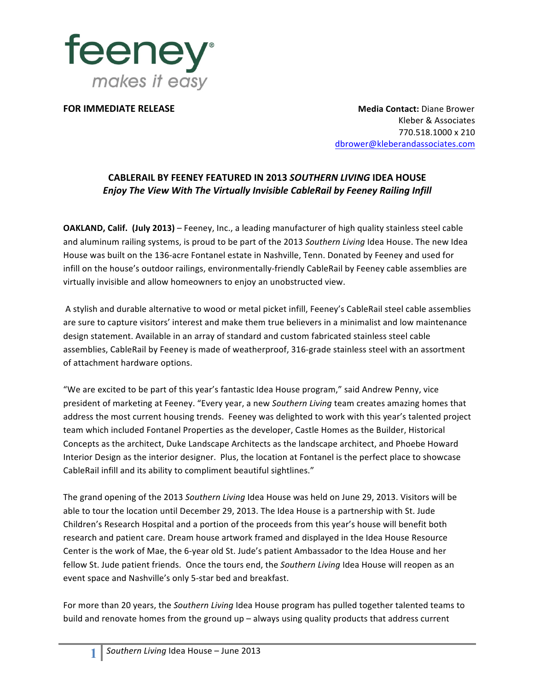

**FOR IMMEDIATE RELEASE Media Contact:** Diane Brower Kleber & Associates 770.518.1000 x 210 dbrower@kleberandassociates.com

## **CABLERAIL BY FEENEY FEATURED IN 2013** *SOUTHERN LIVING* **IDEA HOUSE** *Enjoy The View With The Virtually Invisible CableRail by Feeney Railing Infill*

**OAKLAND, Calif.** (July 2013) – Feeney, Inc., a leading manufacturer of high quality stainless steel cable and aluminum railing systems, is proud to be part of the 2013 *Southern Living* Idea House. The new Idea House was built on the 136-acre Fontanel estate in Nashville, Tenn. Donated by Feeney and used for infill on the house's outdoor railings, environmentally-friendly CableRail by Feeney cable assemblies are virtually invisible and allow homeowners to enjoy an unobstructed view.

A stylish and durable alternative to wood or metal picket infill, Feeney's CableRail steel cable assemblies are sure to capture visitors' interest and make them true believers in a minimalist and low maintenance design statement. Available in an array of standard and custom fabricated stainless steel cable assemblies, CableRail by Feeney is made of weatherproof, 316-grade stainless steel with an assortment of attachment hardware options.

"We are excited to be part of this year's fantastic Idea House program," said Andrew Penny, vice president of marketing at Feeney. "Every year, a new *Southern Living* team creates amazing homes that address the most current housing trends. Feeney was delighted to work with this year's talented project team which included Fontanel Properties as the developer, Castle Homes as the Builder, Historical Concepts as the architect, Duke Landscape Architects as the landscape architect, and Phoebe Howard Interior Design as the interior designer. Plus, the location at Fontanel is the perfect place to showcase CableRail infill and its ability to compliment beautiful sightlines."

The grand opening of the 2013 Southern Living Idea House was held on June 29, 2013. Visitors will be able to tour the location until December 29, 2013. The Idea House is a partnership with St. Jude Children's Research Hospital and a portion of the proceeds from this year's house will benefit both research and patient care. Dream house artwork framed and displayed in the Idea House Resource Center is the work of Mae, the 6-year old St. Jude's patient Ambassador to the Idea House and her fellow St. Jude patient friends. Once the tours end, the *Southern Living* Idea House will reopen as an event space and Nashville's only 5-star bed and breakfast.

For more than 20 years, the *Southern Living* Idea House program has pulled together talented teams to build and renovate homes from the ground  $up$  – always using quality products that address current